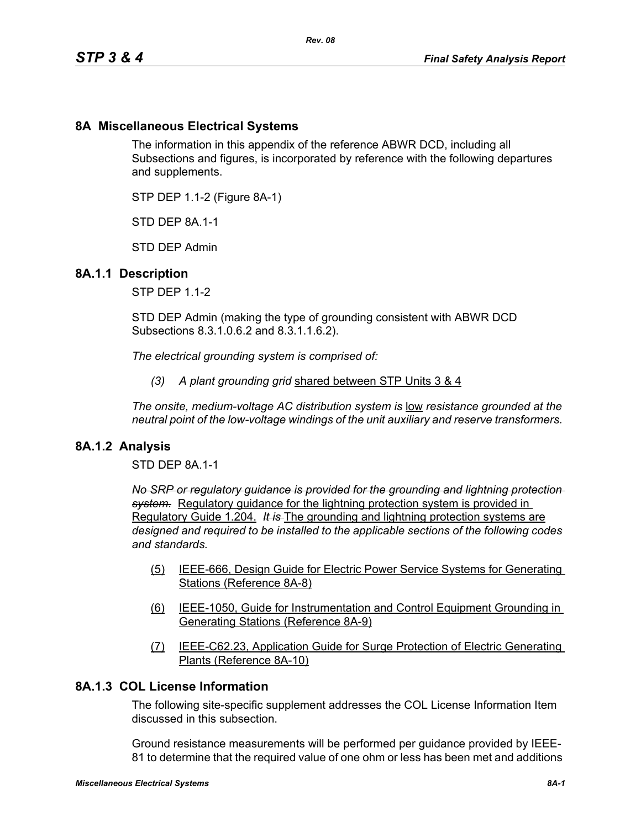# **8A Miscellaneous Electrical Systems**

The information in this appendix of the reference ABWR DCD, including all Subsections and figures, is incorporated by reference with the following departures and supplements.

STP DEP 1.1-2 (Figure 8A-1)

STD DFP 8A 1-1

STD DEP Admin

### **8A.1.1 Description**

STP DEP 1.1-2

STD DEP Admin (making the type of grounding consistent with ABWR DCD Subsections 8.3.1.0.6.2 and 8.3.1.1.6.2).

*The electrical grounding system is comprised of:*

*(3) A plant grounding grid* shared between STP Units 3 & 4

*The onsite, medium-voltage AC distribution system is* low *resistance grounded at the neutral point of the low-voltage windings of the unit auxiliary and reserve transformers.* 

#### **8A.1.2 Analysis**

STD DEP 8A.1-1

*No SRP or regulatory guidance is provided for the grounding and lightning protection system.* Regulatory guidance for the lightning protection system is provided in Regulatory Guide 1.204. *It is* The grounding and lightning protection systems are *designed and required to be installed to the applicable sections of the following codes and standards.*

- (5) IEEE-666, Design Guide for Electric Power Service Systems for Generating Stations (Reference 8A-8)
- (6) IEEE-1050, Guide for Instrumentation and Control Equipment Grounding in Generating Stations (Reference 8A-9)
- (7) IEEE-C62.23, Application Guide for Surge Protection of Electric Generating Plants (Reference 8A-10)

# **8A.1.3 COL License Information**

The following site-specific supplement addresses the COL License Information Item discussed in this subsection.

Ground resistance measurements will be performed per guidance provided by IEEE-81 to determine that the required value of one ohm or less has been met and additions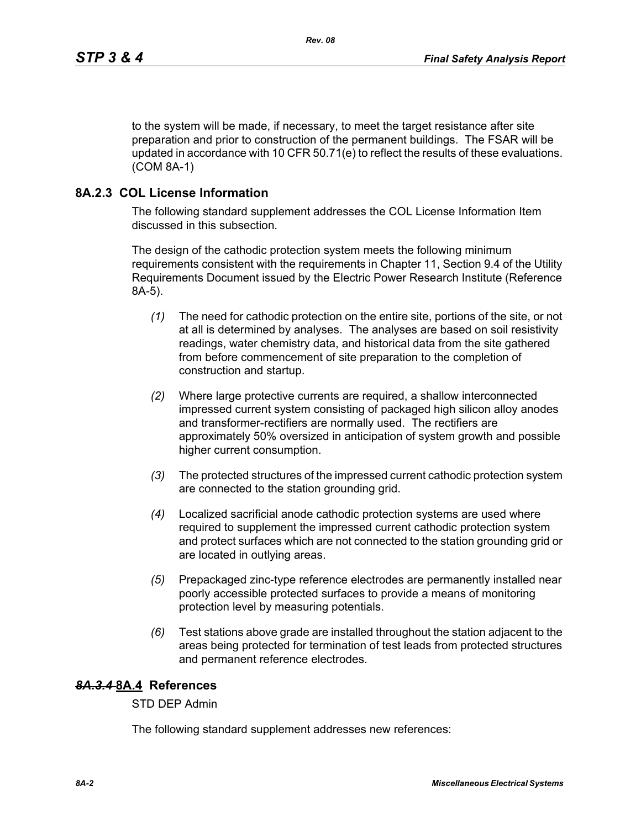to the system will be made, if necessary, to meet the target resistance after site preparation and prior to construction of the permanent buildings. The FSAR will be updated in accordance with 10 CFR 50.71(e) to reflect the results of these evaluations. (COM 8A-1)

## **8A.2.3 COL License Information**

The following standard supplement addresses the COL License Information Item discussed in this subsection.

The design of the cathodic protection system meets the following minimum requirements consistent with the requirements in Chapter 11, Section 9.4 of the Utility Requirements Document issued by the Electric Power Research Institute (Reference 8A-5).

- *(1)* The need for cathodic protection on the entire site, portions of the site, or not at all is determined by analyses. The analyses are based on soil resistivity readings, water chemistry data, and historical data from the site gathered from before commencement of site preparation to the completion of construction and startup.
- *(2)* Where large protective currents are required, a shallow interconnected impressed current system consisting of packaged high silicon alloy anodes and transformer-rectifiers are normally used. The rectifiers are approximately 50% oversized in anticipation of system growth and possible higher current consumption.
- *(3)* The protected structures of the impressed current cathodic protection system are connected to the station grounding grid.
- *(4)* Localized sacrificial anode cathodic protection systems are used where required to supplement the impressed current cathodic protection system and protect surfaces which are not connected to the station grounding grid or are located in outlying areas.
- *(5)* Prepackaged zinc-type reference electrodes are permanently installed near poorly accessible protected surfaces to provide a means of monitoring protection level by measuring potentials.
- *(6)* Test stations above grade are installed throughout the station adjacent to the areas being protected for termination of test leads from protected structures and permanent reference electrodes.

# *8A.3.4* **8A.4 References**

STD DEP Admin

The following standard supplement addresses new references: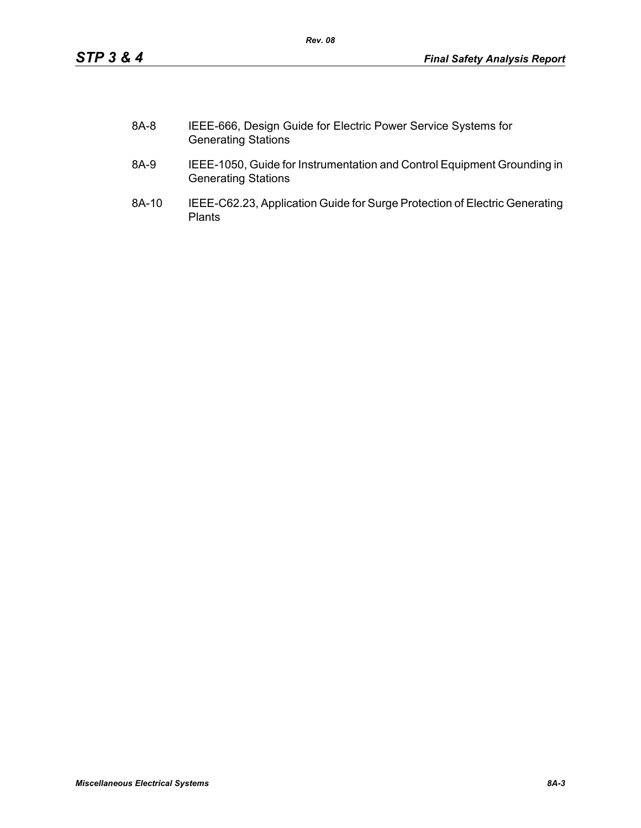| 8A-8 | IEEE-666, Design Guide for Electric Power Service Systems for |
|------|---------------------------------------------------------------|
|      | <b>Generating Stations</b>                                    |

*Rev. 08*

- 8A-9 IEEE-1050, Guide for Instrumentation and Control Equipment Grounding in Generating Stations
- 8A-10 IEEE-C62.23, Application Guide for Surge Protection of Electric Generating Plants